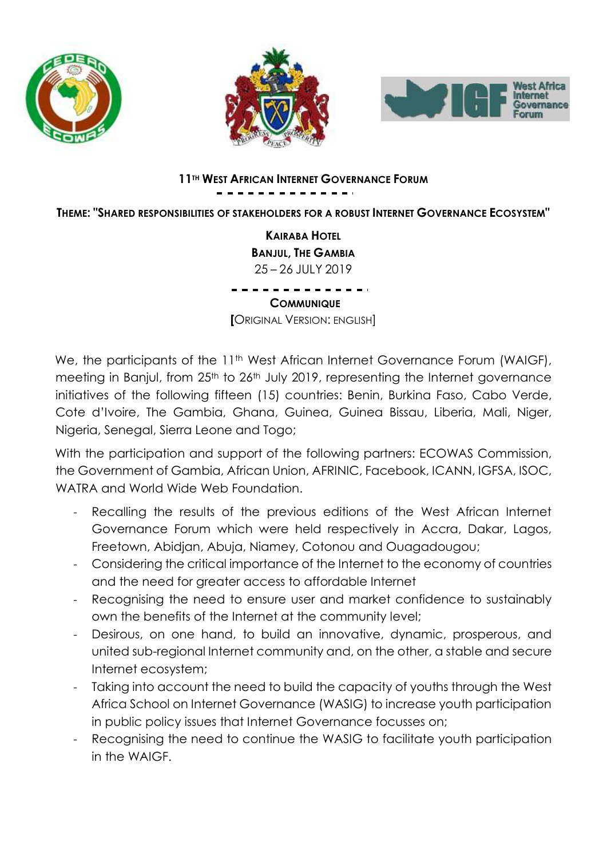





# **11TH WEST AFRICAN INTERNET GOVERNANCE FORUM**

**THEME: "SHARED RESPONSIBILITIES OF STAKEHOLDERS FOR A ROBUST INTERNET GOVERNANCE ECOSYSTEM"**

**KAIRABA HOTEL BANJUL, THE GAMBIA** 25 – 26 JULY 2019

**COMMUNIQUE [**ORIGINAL VERSION: ENGLISH]

We, the participants of the 11<sup>th</sup> West African Internet Governance Forum (WAIGF), meeting in Banjul, from 25<sup>th</sup> to 26<sup>th</sup> July 2019, representing the Internet governance initiatives of the following fifteen (15) countries: Benin, Burkina Faso, Cabo Verde, Cote d'Ivoire, The Gambia, Ghana, Guinea, Guinea Bissau, Liberia, Mali, Niger, Nigeria, Senegal, Sierra Leone and Togo;

With the participation and support of the following partners: ECOWAS Commission, the Government of Gambia, African Union, AFRINIC, Facebook, ICANN, IGFSA, ISOC, WATRA and World Wide Web Foundation.

- Recalling the results of the previous editions of the West African Internet Governance Forum which were held respectively in Accra, Dakar, Lagos, Freetown, Abidjan, Abuja, Niamey, Cotonou and Ouagadougou;
- Considering the critical importance of the Internet to the economy of countries and the need for greater access to affordable Internet
- Recognising the need to ensure user and market confidence to sustainably own the benefits of the Internet at the community level;
- Desirous, on one hand, to build an innovative, dynamic, prosperous, and united sub-regional Internet community and, on the other, a stable and secure Internet ecosystem;
- Taking into account the need to build the capacity of youths through the West Africa School on Internet Governance (WASIG) to increase youth participation in public policy issues that Internet Governance focusses on;
- Recognising the need to continue the WASIG to facilitate youth participation in the WAIGF.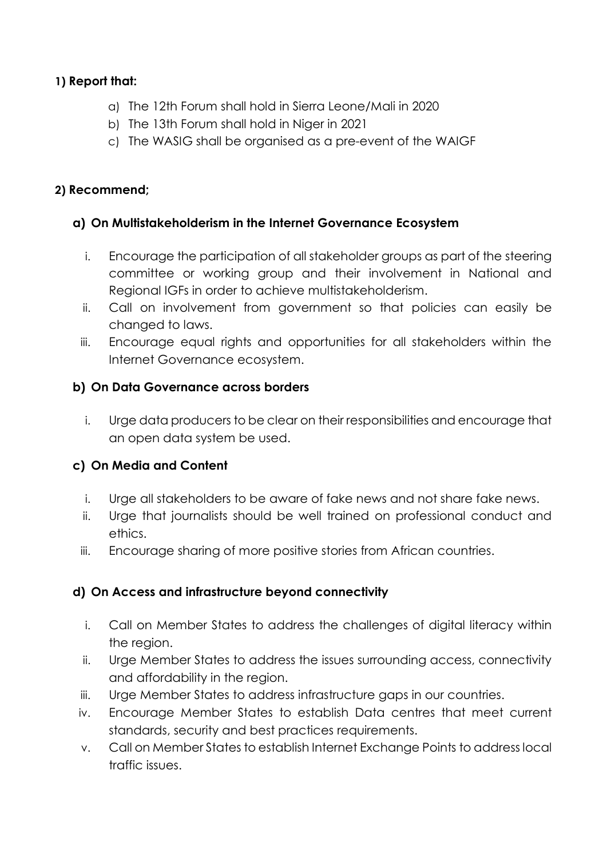## **1) Report that:**

- a) The 12th Forum shall hold in Sierra Leone/Mali in 2020
- b) The 13th Forum shall hold in Niger in 2021
- c) The WASIG shall be organised as a pre-event of the WAIGF

#### **2) Recommend;**

## **a) On Multistakeholderism in the Internet Governance Ecosystem**

- i. Encourage the participation of all stakeholder groups as part of the steering committee or working group and their involvement in National and Regional IGFs in order to achieve multistakeholderism.
- ii. Call on involvement from government so that policies can easily be changed to laws.
- iii. Encourage equal rights and opportunities for all stakeholders within the Internet Governance ecosystem.

## **b) On Data Governance across borders**

i. Urge data producers to be clear on their responsibilities and encourage that an open data system be used.

# **c) On Media and Content**

- i. Urge all stakeholders to be aware of fake news and not share fake news.
- ii. Urge that journalists should be well trained on professional conduct and ethics.
- iii. Encourage sharing of more positive stories from African countries.

# **d) On Access and infrastructure beyond connectivity**

- i. Call on Member States to address the challenges of digital literacy within the region.
- ii. Urge Member States to address the issues surrounding access, connectivity and affordability in the region.
- iii. Urge Member States to address infrastructure gaps in our countries.
- iv. Encourage Member States to establish Data centres that meet current standards, security and best practices requirements.
- v. Call on Member States to establish Internet Exchange Points to address local traffic issues.